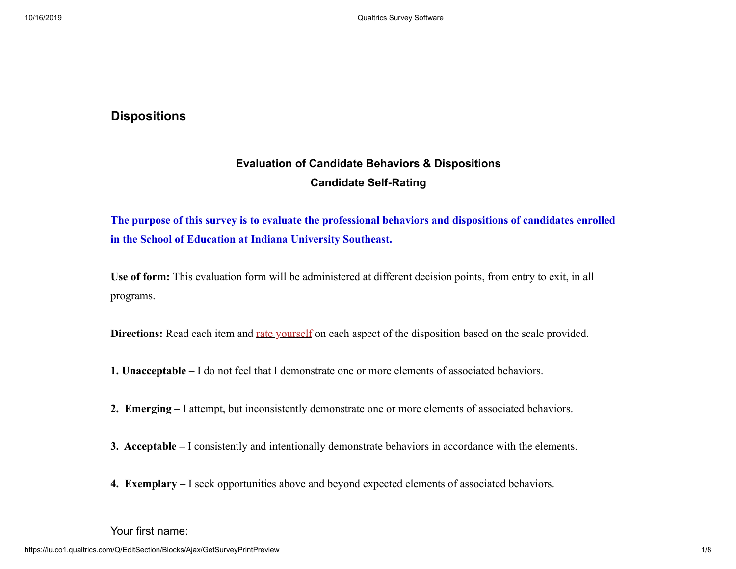## **Dispositions**

# **Evaluation of Candidate Behaviors & Dispositions Candidate Self-Rating**

**The purpose of this survey is to evaluate the professional behaviors and dispositions of candidates enrolled in the School of Education at Indiana University Southeast.** 

**Use of form:** This evaluation form will be administered at different decision points, from entry to exit, in all programs.

**Directions:** Read each item and rate yourself on each aspect of the disposition based on the scale provided.

- **1. Unacceptable** I do not feel that I demonstrate one or more elements of associated behaviors.
- **2. Emerging** I attempt, but inconsistently demonstrate one or more elements of associated behaviors.
- **3. Acceptable** I consistently and intentionally demonstrate behaviors in accordance with the elements.
- **4. Exemplary** I seek opportunities above and beyond expected elements of associated behaviors.

#### Your first name: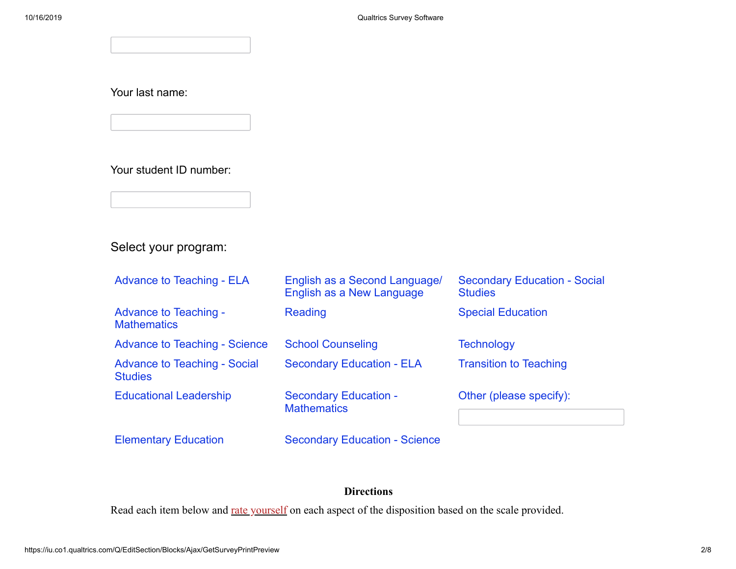Your last name:

Your student ID number:

Select your program:

| <b>Advance to Teaching - ELA</b>                      | English as a Second Language/<br>English as a New Language | <b>Secondary Education - Social</b><br><b>Studies</b> |
|-------------------------------------------------------|------------------------------------------------------------|-------------------------------------------------------|
| <b>Advance to Teaching -</b><br><b>Mathematics</b>    | Reading                                                    | <b>Special Education</b>                              |
| <b>Advance to Teaching - Science</b>                  | <b>School Counseling</b>                                   | <b>Technology</b>                                     |
| <b>Advance to Teaching - Social</b><br><b>Studies</b> | <b>Secondary Education - ELA</b>                           | <b>Transition to Teaching</b>                         |
| <b>Educational Leadership</b>                         | <b>Secondary Education -</b><br><b>Mathematics</b>         | Other (please specify):                               |
| <b>Elementary Education</b>                           | <b>Secondary Education - Science</b>                       |                                                       |

# **Directions**

Read each item below and rate yourself on each aspect of the disposition based on the scale provided.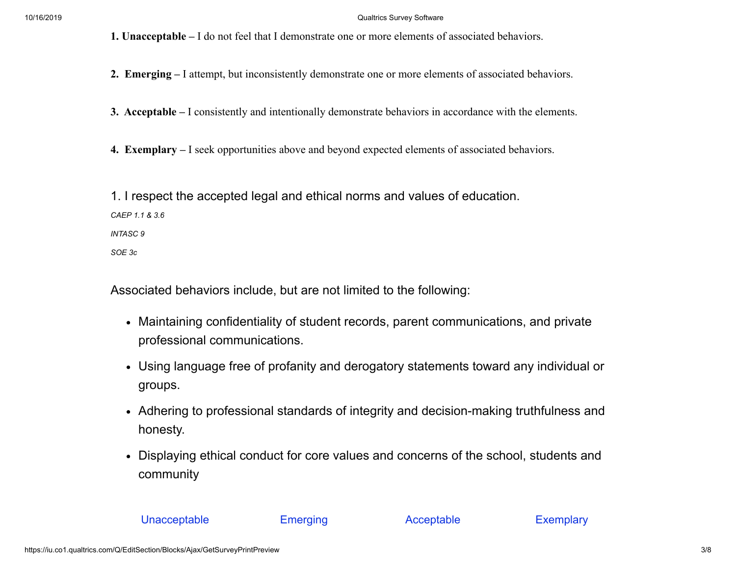#### 10/16/2019 Qualtrics Survey Software

**1. Unacceptable –** I do not feel that I demonstrate one or more elements of associated behaviors.

**2. Emerging –** I attempt, but inconsistently demonstrate one or more elements of associated behaviors.

**3. Acceptable –** I consistently and intentionally demonstrate behaviors in accordance with the elements.

**4. Exemplary –** I seek opportunities above and beyond expected elements of associated behaviors.

1. I respect the accepted legal and ethical norms and values of education. *CAEP 1.1 & 3.6 INTASC 9 SOE 3c*

Associated behaviors include, but are not limited to the following:

- Maintaining confidentiality of student records, parent communications, and private professional communications.
- Using language free of profanity and derogatory statements toward any individual or groups.
- Adhering to professional standards of integrity and decision-making truthfulness and honesty.
- Displaying ethical conduct for core values and concerns of the school, students and community

#### Unacceptable Emerging Acceptable Exemplary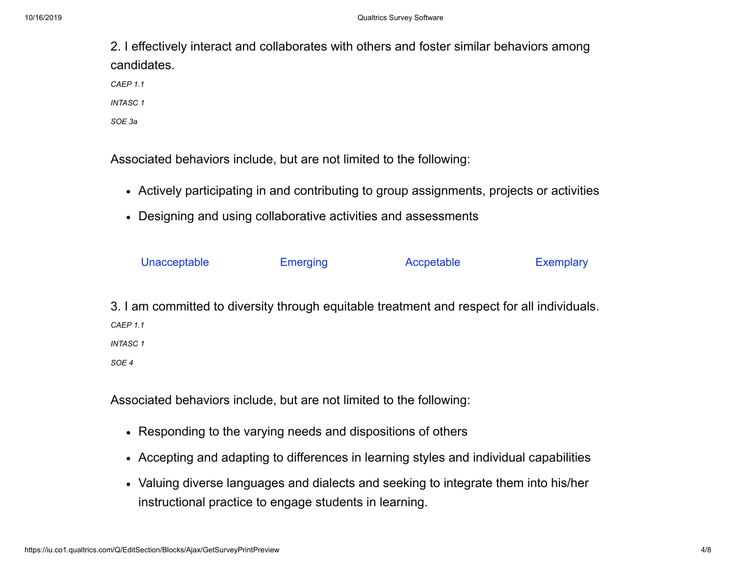2. I effectively interact and collaborates with others and foster similar behaviors among candidates. *CAEP 1.1 INTASC 1 SOE 3a*

Associated behaviors include, but are not limited to the following:

- Actively participating in and contributing to group assignments, projects or activities
- Designing and using collaborative activities and assessments

| Unacceptable                                                                                | <b>Emerging</b> | Accpetable | <b>Exemplary</b> |
|---------------------------------------------------------------------------------------------|-----------------|------------|------------------|
| 3. I am committed to diversity through equitable treatment and respect for all individuals. |                 |            |                  |
| CAEP 1.1                                                                                    |                 |            |                  |
| <b>INTASC1</b>                                                                              |                 |            |                  |

*SOE 4*

Associated behaviors include, but are not limited to the following:

- Responding to the varying needs and dispositions of others
- Accepting and adapting to differences in learning styles and individual capabilities
- Valuing diverse languages and dialects and seeking to integrate them into his/her instructional practice to engage students in learning.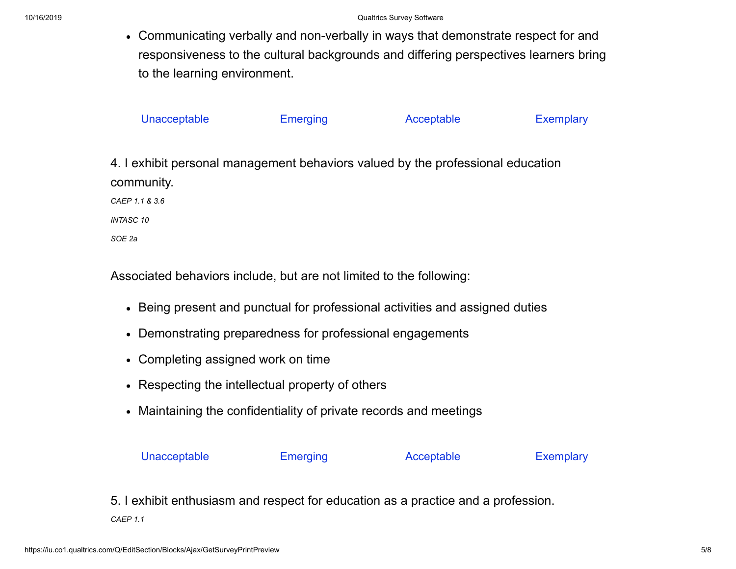Communicating verbally and non-verbally in ways that demonstrate respect for and responsiveness to the cultural backgrounds and differing perspectives learners bring to the learning environment.

| Unacceptable                                                                    | <b>Emerging</b> | Acceptable | <b>Exemplary</b> |
|---------------------------------------------------------------------------------|-----------------|------------|------------------|
|                                                                                 |                 |            |                  |
| 4. I exhibit personal management behaviors valued by the professional education |                 |            |                  |
| community.                                                                      |                 |            |                  |
| CAEP 1.1 & 3.6                                                                  |                 |            |                  |
| <b>INTASC 10</b>                                                                |                 |            |                  |
| SOE 2a                                                                          |                 |            |                  |

Associated behaviors include, but are not limited to the following:

- Being present and punctual for professional activities and assigned duties
- Demonstrating preparedness for professional engagements
- Completing assigned work on time
- Respecting the intellectual property of others
- Maintaining the confidentiality of private records and meetings



5. I exhibit enthusiasm and respect for education as a practice and a profession.

*CAEP 1.1*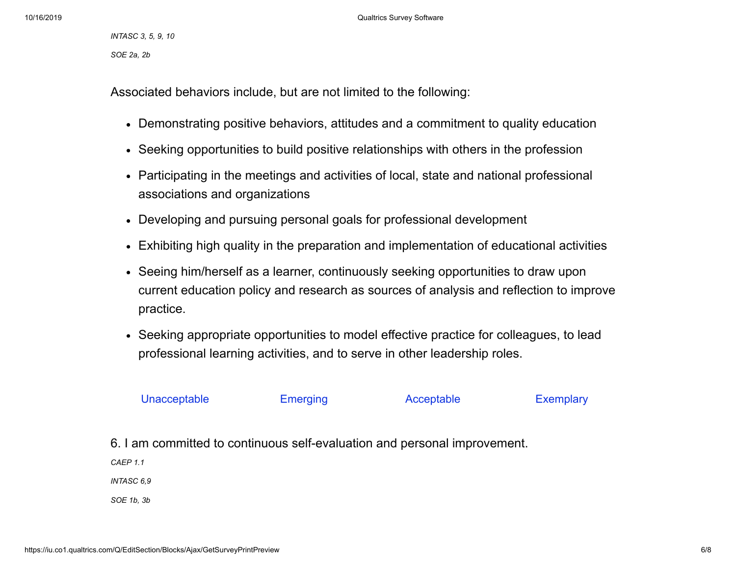10/16/2019 Qualtrics Survey Software

*INTASC 3, 5, 9, 10 SOE 2a, 2b*

Associated behaviors include, but are not limited to the following:

- Demonstrating positive behaviors, attitudes and a commitment to quality education
- Seeking opportunities to build positive relationships with others in the profession
- Participating in the meetings and activities of local, state and national professional associations and organizations
- Developing and pursuing personal goals for professional development
- Exhibiting high quality in the preparation and implementation of educational activities
- Seeing him/herself as a learner, continuously seeking opportunities to draw upon current education policy and research as sources of analysis and reflection to improve practice.
- Seeking appropriate opportunities to model effective practice for colleagues, to lead professional learning activities, and to serve in other leadership roles.

## Unacceptable Emerging Acceptable Exemplary

6. I am committed to continuous self-evaluation and personal improvement.

*CAEP 1.1*

*INTASC 6,9*

*SOE 1b, 3b*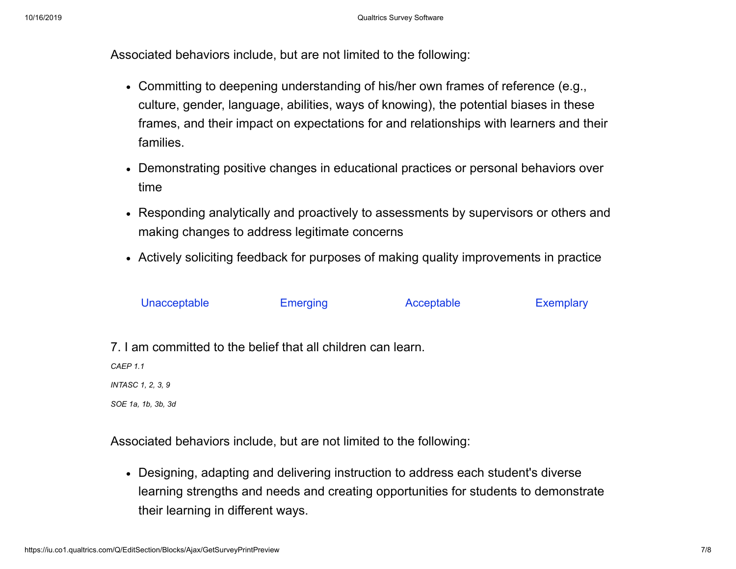Associated behaviors include, but are not limited to the following:

- Committing to deepening understanding of his/her own frames of reference (e.g., culture, gender, language, abilities, ways of knowing), the potential biases in these frames, and their impact on expectations for and relationships with learners and their families.
- Demonstrating positive changes in educational practices or personal behaviors over time
- Responding analytically and proactively to assessments by supervisors or others and making changes to address legitimate concerns
- Actively soliciting feedback for purposes of making quality improvements in practice

| Unacceptable | <b>Emerging</b> | Acceptable | <b>Exemplary</b> |
|--------------|-----------------|------------|------------------|
|              |                 |            |                  |

7. I am committed to the belief that all children can learn.

*CAEP 1.1*

*INTASC 1, 2, 3, 9*

*SOE 1a, 1b, 3b, 3d*

Associated behaviors include, but are not limited to the following:

Designing, adapting and delivering instruction to address each student's diverse learning strengths and needs and creating opportunities for students to demonstrate their learning in different ways.